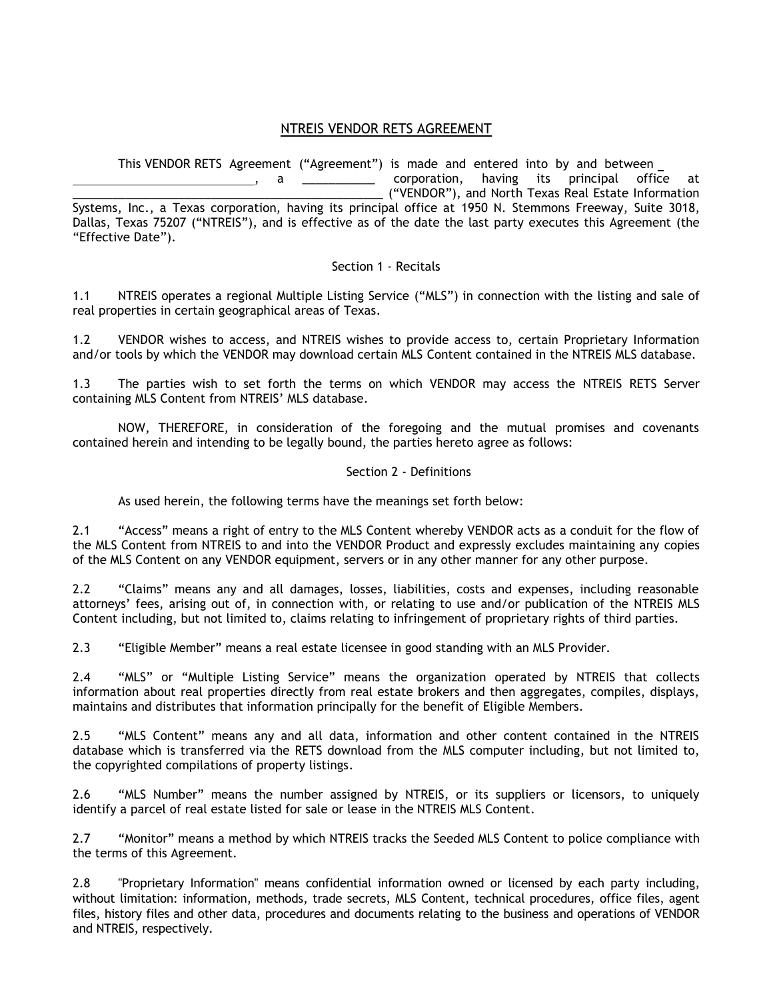## NTREIS VENDOR RETS AGREEMENT

This VENDOR RETS Agreement ("Agreement") is made and entered into by and between

a \_\_\_\_\_\_\_\_\_\_\_\_\_ corporation, having its principal office at \_\_\_\_\_\_\_\_\_\_\_\_\_\_\_\_\_\_\_\_\_\_\_\_\_\_\_\_\_\_\_\_\_\_\_\_\_\_\_\_\_\_\_\_\_\_\_ ("VENDOR"), and North Texas Real Estate Information Systems, Inc., a Texas corporation, having its principal office at 1950 N. Stemmons Freeway, Suite 3018, Dallas, Texas 75207 ("NTREIS"), and is effective as of the date the last party executes this Agreement (the "Effective Date").

## Section 1 - Recitals

1.1 NTREIS operates a regional Multiple Listing Service ("MLS") in connection with the listing and sale of real properties in certain geographical areas of Texas.

1.2 VENDOR wishes to access, and NTREIS wishes to provide access to, certain Proprietary Information and/or tools by which the VENDOR may download certain MLS Content contained in the NTREIS MLS database.

1.3 The parties wish to set forth the terms on which VENDOR may access the NTREIS RETS Server containing MLS Content from NTREIS' MLS database.

NOW, THEREFORE, in consideration of the foregoing and the mutual promises and covenants contained herein and intending to be legally bound, the parties hereto agree as follows:

## Section 2 - Definitions

As used herein, the following terms have the meanings set forth below:

2.1 "Access" means a right of entry to the MLS Content whereby VENDOR acts as a conduit for the flow of the MLS Content from NTREIS to and into the VENDOR Product and expressly excludes maintaining any copies of the MLS Content on any VENDOR equipment, servers or in any other manner for any other purpose.

2.2 "Claims" means any and all damages, losses, liabilities, costs and expenses, including reasonable attorneys' fees, arising out of, in connection with, or relating to use and/or publication of the NTREIS MLS Content including, but not limited to, claims relating to infringement of proprietary rights of third parties.

2.3 "Eligible Member" means a real estate licensee in good standing with an MLS Provider.

2.4 "MLS" or "Multiple Listing Service" means the organization operated by NTREIS that collects information about real properties directly from real estate brokers and then aggregates, compiles, displays, maintains and distributes that information principally for the benefit of Eligible Members.

2.5 "MLS Content" means any and all data, information and other content contained in the NTREIS database which is transferred via the RETS download from the MLS computer including, but not limited to, the copyrighted compilations of property listings.

2.6 "MLS Number" means the number assigned by NTREIS, or its suppliers or licensors, to uniquely identify a parcel of real estate listed for sale or lease in the NTREIS MLS Content.

2.7 "Monitor" means a method by which NTREIS tracks the Seeded MLS Content to police compliance with the terms of this Agreement.

2.8 "Proprietary Information" means confidential information owned or licensed by each party including, without limitation: information, methods, trade secrets, MLS Content, technical procedures, office files, agent files, history files and other data, procedures and documents relating to the business and operations of VENDOR and NTREIS, respectively.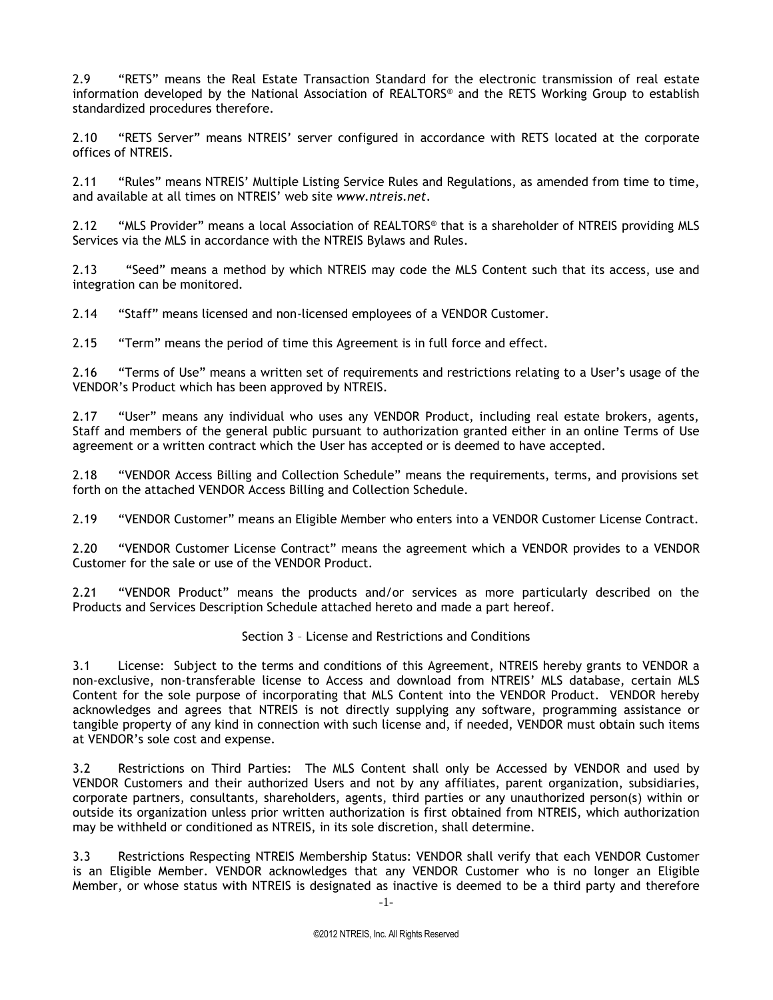2.9 "RETS" means the Real Estate Transaction Standard for the electronic transmission of real estate information developed by the National Association of REALTORS® and the RETS Working Group to establish standardized procedures therefore.

2.10 "RETS Server" means NTREIS' server configured in accordance with RETS located at the corporate offices of NTREIS.

2.11 "Rules" means NTREIS' Multiple Listing Service Rules and Regulations, as amended from time to time, and available at all times on NTREIS' web site *www.ntreis.net*.

2.12 "MLS Provider" means a local Association of REALTORS® that is a shareholder of NTREIS providing MLS Services via the MLS in accordance with the NTREIS Bylaws and Rules.

2.13 "Seed" means a method by which NTREIS may code the MLS Content such that its access, use and integration can be monitored.

2.14 "Staff" means licensed and non-licensed employees of a VENDOR Customer.

2.15 "Term" means the period of time this Agreement is in full force and effect.

2.16 "Terms of Use" means a written set of requirements and restrictions relating to a User's usage of the VENDOR's Product which has been approved by NTREIS.

2.17 "User" means any individual who uses any VENDOR Product, including real estate brokers, agents, Staff and members of the general public pursuant to authorization granted either in an online Terms of Use agreement or a written contract which the User has accepted or is deemed to have accepted.

2.18 "VENDOR Access Billing and Collection Schedule" means the requirements, terms, and provisions set forth on the attached VENDOR Access Billing and Collection Schedule.

2.19 "VENDOR Customer" means an Eligible Member who enters into a VENDOR Customer License Contract.

2.20 "VENDOR Customer License Contract" means the agreement which a VENDOR provides to a VENDOR Customer for the sale or use of the VENDOR Product.

2.21 "VENDOR Product" means the products and/or services as more particularly described on the Products and Services Description Schedule attached hereto and made a part hereof.

#### Section 3 – License and Restrictions and Conditions

3.1 License: Subject to the terms and conditions of this Agreement, NTREIS hereby grants to VENDOR a non-exclusive, non-transferable license to Access and download from NTREIS' MLS database, certain MLS Content for the sole purpose of incorporating that MLS Content into the VENDOR Product. VENDOR hereby acknowledges and agrees that NTREIS is not directly supplying any software, programming assistance or tangible property of any kind in connection with such license and, if needed, VENDOR must obtain such items at VENDOR's sole cost and expense.

3.2 Restrictions on Third Parties: The MLS Content shall only be Accessed by VENDOR and used by VENDOR Customers and their authorized Users and not by any affiliates, parent organization, subsidiaries, corporate partners, consultants, shareholders, agents, third parties or any unauthorized person(s) within or outside its organization unless prior written authorization is first obtained from NTREIS, which authorization may be withheld or conditioned as NTREIS, in its sole discretion, shall determine.

3.3 Restrictions Respecting NTREIS Membership Status: VENDOR shall verify that each VENDOR Customer is an Eligible Member. VENDOR acknowledges that any VENDOR Customer who is no longer an Eligible Member, or whose status with NTREIS is designated as inactive is deemed to be a third party and therefore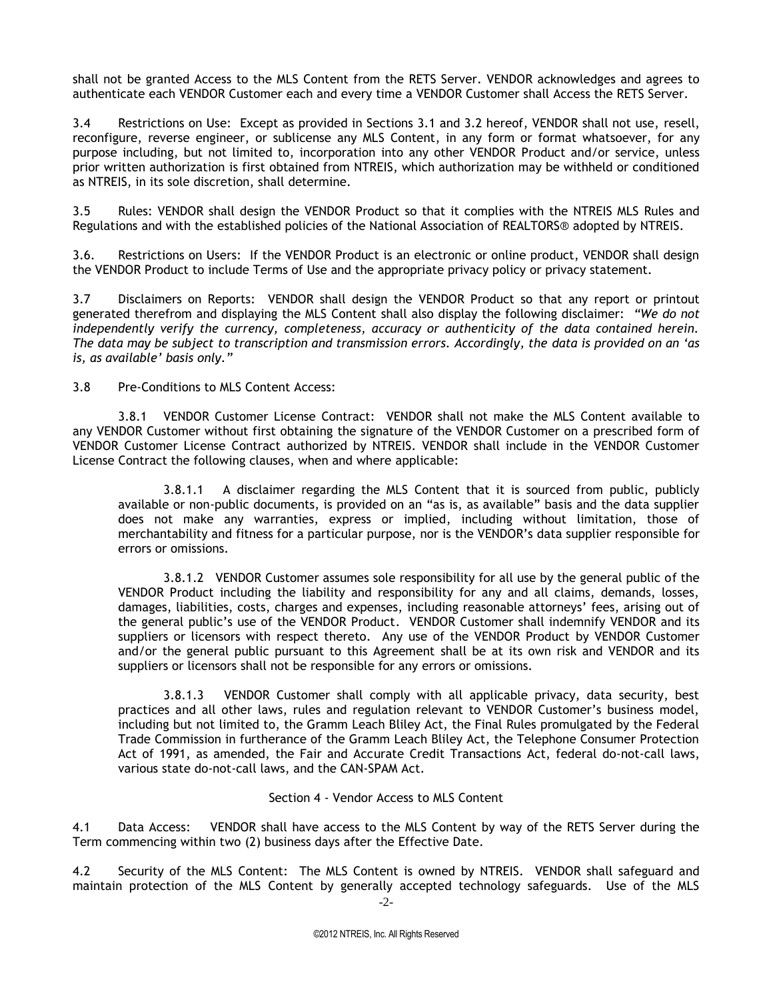shall not be granted Access to the MLS Content from the RETS Server. VENDOR acknowledges and agrees to authenticate each VENDOR Customer each and every time a VENDOR Customer shall Access the RETS Server.

3.4 Restrictions on Use: Except as provided in Sections 3.1 and 3.2 hereof, VENDOR shall not use, resell, reconfigure, reverse engineer, or sublicense any MLS Content, in any form or format whatsoever, for any purpose including, but not limited to, incorporation into any other VENDOR Product and/or service, unless prior written authorization is first obtained from NTREIS, which authorization may be withheld or conditioned as NTREIS, in its sole discretion, shall determine.

3.5 Rules: VENDOR shall design the VENDOR Product so that it complies with the NTREIS MLS Rules and Regulations and with the established policies of the National Association of REALTORS® adopted by NTREIS.

3.6. Restrictions on Users: If the VENDOR Product is an electronic or online product, VENDOR shall design the VENDOR Product to include Terms of Use and the appropriate privacy policy or privacy statement.

3.7 Disclaimers on Reports: VENDOR shall design the VENDOR Product so that any report or printout generated therefrom and displaying the MLS Content shall also display the following disclaimer: *"We do not independently verify the currency, completeness, accuracy or authenticity of the data contained herein. The data may be subject to transcription and transmission errors. Accordingly, the data is provided on an 'as is, as available' basis only."*

3.8 Pre-Conditions to MLS Content Access:

3.8.1 VENDOR Customer License Contract: VENDOR shall not make the MLS Content available to any VENDOR Customer without first obtaining the signature of the VENDOR Customer on a prescribed form of VENDOR Customer License Contract authorized by NTREIS. VENDOR shall include in the VENDOR Customer License Contract the following clauses, when and where applicable:

3.8.1.1 A disclaimer regarding the MLS Content that it is sourced from public, publicly available or non-public documents, is provided on an "as is, as available" basis and the data supplier does not make any warranties, express or implied, including without limitation, those of merchantability and fitness for a particular purpose, nor is the VENDOR's data supplier responsible for errors or omissions.

3.8.1.2 VENDOR Customer assumes sole responsibility for all use by the general public of the VENDOR Product including the liability and responsibility for any and all claims, demands, losses, damages, liabilities, costs, charges and expenses, including reasonable attorneys' fees, arising out of the general public's use of the VENDOR Product. VENDOR Customer shall indemnify VENDOR and its suppliers or licensors with respect thereto. Any use of the VENDOR Product by VENDOR Customer and/or the general public pursuant to this Agreement shall be at its own risk and VENDOR and its suppliers or licensors shall not be responsible for any errors or omissions.

3.8.1.3 VENDOR Customer shall comply with all applicable privacy, data security, best practices and all other laws, rules and regulation relevant to VENDOR Customer's business model, including but not limited to, the Gramm Leach Bliley Act, the Final Rules promulgated by the Federal Trade Commission in furtherance of the Gramm Leach Bliley Act, the Telephone Consumer Protection Act of 1991, as amended, the Fair and Accurate Credit Transactions Act, federal do-not-call laws, various state do-not-call laws, and the CAN-SPAM Act.

## Section 4 - Vendor Access to MLS Content

4.1 Data Access: VENDOR shall have access to the MLS Content by way of the RETS Server during the Term commencing within two (2) business days after the Effective Date.

-2- 4.2 Security of the MLS Content: The MLS Content is owned by NTREIS. VENDOR shall safeguard and maintain protection of the MLS Content by generally accepted technology safeguards. Use of the MLS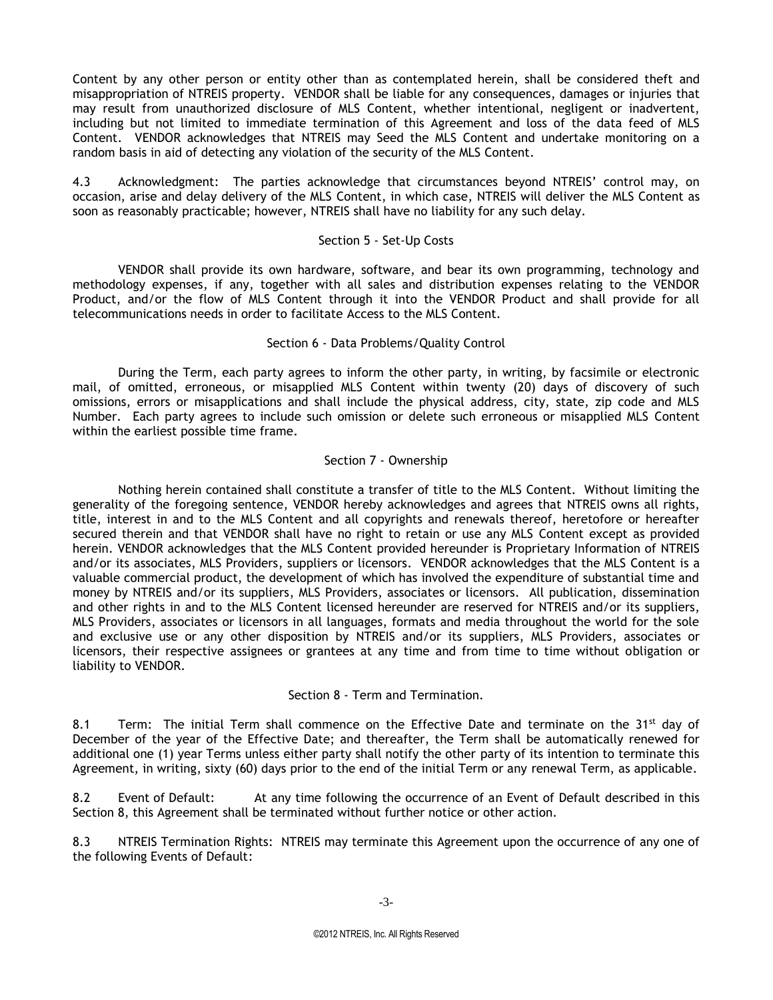Content by any other person or entity other than as contemplated herein, shall be considered theft and misappropriation of NTREIS property. VENDOR shall be liable for any consequences, damages or injuries that may result from unauthorized disclosure of MLS Content, whether intentional, negligent or inadvertent, including but not limited to immediate termination of this Agreement and loss of the data feed of MLS Content. VENDOR acknowledges that NTREIS may Seed the MLS Content and undertake monitoring on a random basis in aid of detecting any violation of the security of the MLS Content.

4.3 Acknowledgment: The parties acknowledge that circumstances beyond NTREIS' control may, on occasion, arise and delay delivery of the MLS Content, in which case, NTREIS will deliver the MLS Content as soon as reasonably practicable; however, NTREIS shall have no liability for any such delay.

#### Section 5 - Set-Up Costs

VENDOR shall provide its own hardware, software, and bear its own programming, technology and methodology expenses, if any, together with all sales and distribution expenses relating to the VENDOR Product, and/or the flow of MLS Content through it into the VENDOR Product and shall provide for all telecommunications needs in order to facilitate Access to the MLS Content.

#### Section 6 - Data Problems/Quality Control

During the Term, each party agrees to inform the other party, in writing, by facsimile or electronic mail, of omitted, erroneous, or misapplied MLS Content within twenty (20) days of discovery of such omissions, errors or misapplications and shall include the physical address, city, state, zip code and MLS Number. Each party agrees to include such omission or delete such erroneous or misapplied MLS Content within the earliest possible time frame.

## Section 7 - Ownership

Nothing herein contained shall constitute a transfer of title to the MLS Content. Without limiting the generality of the foregoing sentence, VENDOR hereby acknowledges and agrees that NTREIS owns all rights, title, interest in and to the MLS Content and all copyrights and renewals thereof, heretofore or hereafter secured therein and that VENDOR shall have no right to retain or use any MLS Content except as provided herein. VENDOR acknowledges that the MLS Content provided hereunder is Proprietary Information of NTREIS and/or its associates, MLS Providers, suppliers or licensors. VENDOR acknowledges that the MLS Content is a valuable commercial product, the development of which has involved the expenditure of substantial time and money by NTREIS and/or its suppliers, MLS Providers, associates or licensors. All publication, dissemination and other rights in and to the MLS Content licensed hereunder are reserved for NTREIS and/or its suppliers, MLS Providers, associates or licensors in all languages, formats and media throughout the world for the sole and exclusive use or any other disposition by NTREIS and/or its suppliers, MLS Providers, associates or licensors, their respective assignees or grantees at any time and from time to time without obligation or liability to VENDOR.

## Section 8 - Term and Termination.

8.1 Term: The initial Term shall commence on the Effective Date and terminate on the 31<sup>st</sup> day of December of the year of the Effective Date; and thereafter, the Term shall be automatically renewed for additional one (1) year Terms unless either party shall notify the other party of its intention to terminate this Agreement, in writing, sixty (60) days prior to the end of the initial Term or any renewal Term, as applicable.

8.2 Event of Default: At any time following the occurrence of an Event of Default described in this Section 8, this Agreement shall be terminated without further notice or other action.

8.3 NTREIS Termination Rights: NTREIS may terminate this Agreement upon the occurrence of any one of the following Events of Default: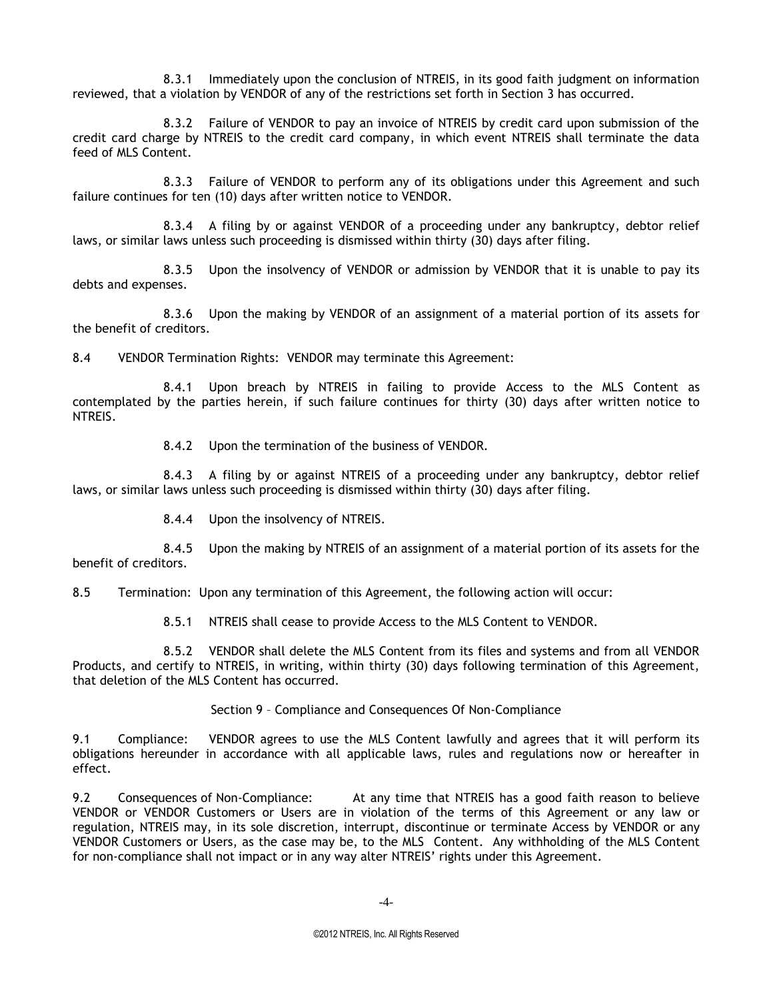8.3.1 Immediately upon the conclusion of NTREIS, in its good faith judgment on information reviewed, that a violation by VENDOR of any of the restrictions set forth in Section 3 has occurred.

8.3.2 Failure of VENDOR to pay an invoice of NTREIS by credit card upon submission of the credit card charge by NTREIS to the credit card company, in which event NTREIS shall terminate the data feed of MLS Content.

8.3.3 Failure of VENDOR to perform any of its obligations under this Agreement and such failure continues for ten (10) days after written notice to VENDOR.

8.3.4 A filing by or against VENDOR of a proceeding under any bankruptcy, debtor relief laws, or similar laws unless such proceeding is dismissed within thirty (30) days after filing.

8.3.5 Upon the insolvency of VENDOR or admission by VENDOR that it is unable to pay its debts and expenses.

8.3.6 Upon the making by VENDOR of an assignment of a material portion of its assets for the benefit of creditors.

8.4 VENDOR Termination Rights: VENDOR may terminate this Agreement:

8.4.1 Upon breach by NTREIS in failing to provide Access to the MLS Content as contemplated by the parties herein, if such failure continues for thirty (30) days after written notice to NTREIS.

8.4.2 Upon the termination of the business of VENDOR.

8.4.3 A filing by or against NTREIS of a proceeding under any bankruptcy, debtor relief laws, or similar laws unless such proceeding is dismissed within thirty (30) days after filing.

8.4.4 Upon the insolvency of NTREIS.

8.4.5 Upon the making by NTREIS of an assignment of a material portion of its assets for the benefit of creditors.

8.5 Termination: Upon any termination of this Agreement, the following action will occur:

8.5.1 NTREIS shall cease to provide Access to the MLS Content to VENDOR.

8.5.2 VENDOR shall delete the MLS Content from its files and systems and from all VENDOR Products, and certify to NTREIS, in writing, within thirty (30) days following termination of this Agreement, that deletion of the MLS Content has occurred.

Section 9 – Compliance and Consequences Of Non-Compliance

9.1 Compliance: VENDOR agrees to use the MLS Content lawfully and agrees that it will perform its obligations hereunder in accordance with all applicable laws, rules and regulations now or hereafter in effect.

9.2 Consequences of Non-Compliance: At any time that NTREIS has a good faith reason to believe VENDOR or VENDOR Customers or Users are in violation of the terms of this Agreement or any law or regulation, NTREIS may, in its sole discretion, interrupt, discontinue or terminate Access by VENDOR or any VENDOR Customers or Users, as the case may be, to the MLS Content. Any withholding of the MLS Content for non-compliance shall not impact or in any way alter NTREIS' rights under this Agreement.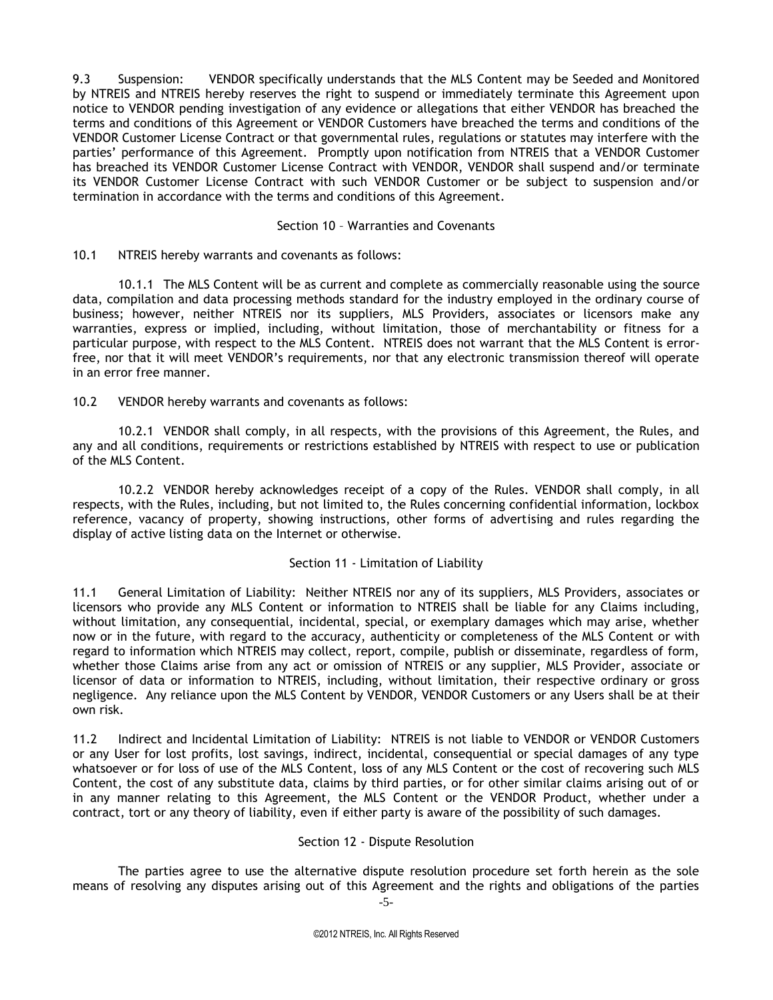9.3 Suspension: VENDOR specifically understands that the MLS Content may be Seeded and Monitored by NTREIS and NTREIS hereby reserves the right to suspend or immediately terminate this Agreement upon notice to VENDOR pending investigation of any evidence or allegations that either VENDOR has breached the terms and conditions of this Agreement or VENDOR Customers have breached the terms and conditions of the VENDOR Customer License Contract or that governmental rules, regulations or statutes may interfere with the parties' performance of this Agreement. Promptly upon notification from NTREIS that a VENDOR Customer has breached its VENDOR Customer License Contract with VENDOR, VENDOR shall suspend and/or terminate its VENDOR Customer License Contract with such VENDOR Customer or be subject to suspension and/or termination in accordance with the terms and conditions of this Agreement.

#### Section 10 – Warranties and Covenants

10.1 NTREIS hereby warrants and covenants as follows:

10.1.1 The MLS Content will be as current and complete as commercially reasonable using the source data, compilation and data processing methods standard for the industry employed in the ordinary course of business; however, neither NTREIS nor its suppliers, MLS Providers, associates or licensors make any warranties, express or implied, including, without limitation, those of merchantability or fitness for a particular purpose, with respect to the MLS Content. NTREIS does not warrant that the MLS Content is errorfree, nor that it will meet VENDOR's requirements, nor that any electronic transmission thereof will operate in an error free manner.

10.2 VENDOR hereby warrants and covenants as follows:

10.2.1 VENDOR shall comply, in all respects, with the provisions of this Agreement, the Rules, and any and all conditions, requirements or restrictions established by NTREIS with respect to use or publication of the MLS Content.

10.2.2 VENDOR hereby acknowledges receipt of a copy of the Rules. VENDOR shall comply, in all respects, with the Rules, including, but not limited to, the Rules concerning confidential information, lockbox reference, vacancy of property, showing instructions, other forms of advertising and rules regarding the display of active listing data on the Internet or otherwise.

#### Section 11 - Limitation of Liability

11.1 General Limitation of Liability: Neither NTREIS nor any of its suppliers, MLS Providers, associates or licensors who provide any MLS Content or information to NTREIS shall be liable for any Claims including, without limitation, any consequential, incidental, special, or exemplary damages which may arise, whether now or in the future, with regard to the accuracy, authenticity or completeness of the MLS Content or with regard to information which NTREIS may collect, report, compile, publish or disseminate, regardless of form, whether those Claims arise from any act or omission of NTREIS or any supplier, MLS Provider, associate or licensor of data or information to NTREIS, including, without limitation, their respective ordinary or gross negligence. Any reliance upon the MLS Content by VENDOR, VENDOR Customers or any Users shall be at their own risk.

11.2 Indirect and Incidental Limitation of Liability: NTREIS is not liable to VENDOR or VENDOR Customers or any User for lost profits, lost savings, indirect, incidental, consequential or special damages of any type whatsoever or for loss of use of the MLS Content, loss of any MLS Content or the cost of recovering such MLS Content, the cost of any substitute data, claims by third parties, or for other similar claims arising out of or in any manner relating to this Agreement, the MLS Content or the VENDOR Product, whether under a contract, tort or any theory of liability, even if either party is aware of the possibility of such damages.

#### Section 12 - Dispute Resolution

The parties agree to use the alternative dispute resolution procedure set forth herein as the sole means of resolving any disputes arising out of this Agreement and the rights and obligations of the parties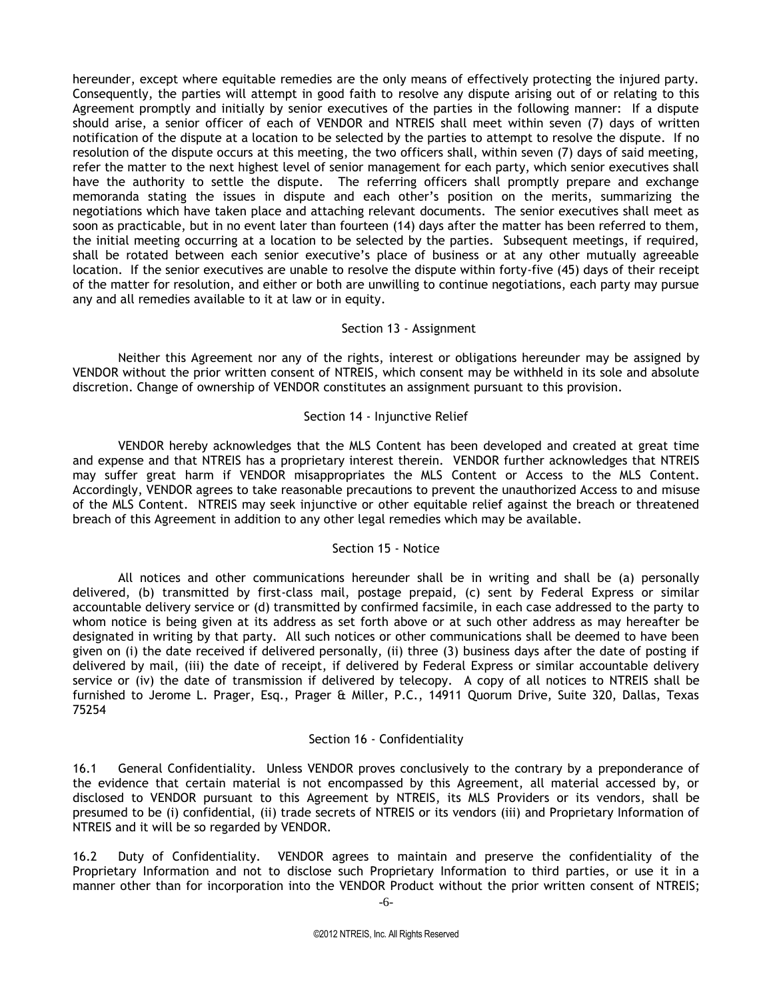hereunder, except where equitable remedies are the only means of effectively protecting the injured party. Consequently, the parties will attempt in good faith to resolve any dispute arising out of or relating to this Agreement promptly and initially by senior executives of the parties in the following manner: If a dispute should arise, a senior officer of each of VENDOR and NTREIS shall meet within seven (7) days of written notification of the dispute at a location to be selected by the parties to attempt to resolve the dispute. If no resolution of the dispute occurs at this meeting, the two officers shall, within seven (7) days of said meeting, refer the matter to the next highest level of senior management for each party, which senior executives shall have the authority to settle the dispute. The referring officers shall promptly prepare and exchange memoranda stating the issues in dispute and each other's position on the merits, summarizing the negotiations which have taken place and attaching relevant documents. The senior executives shall meet as soon as practicable, but in no event later than fourteen (14) days after the matter has been referred to them, the initial meeting occurring at a location to be selected by the parties. Subsequent meetings, if required, shall be rotated between each senior executive's place of business or at any other mutually agreeable location. If the senior executives are unable to resolve the dispute within forty-five (45) days of their receipt of the matter for resolution, and either or both are unwilling to continue negotiations, each party may pursue any and all remedies available to it at law or in equity.

#### Section 13 - Assignment

Neither this Agreement nor any of the rights, interest or obligations hereunder may be assigned by VENDOR without the prior written consent of NTREIS, which consent may be withheld in its sole and absolute discretion. Change of ownership of VENDOR constitutes an assignment pursuant to this provision.

#### Section 14 - Injunctive Relief

VENDOR hereby acknowledges that the MLS Content has been developed and created at great time and expense and that NTREIS has a proprietary interest therein. VENDOR further acknowledges that NTREIS may suffer great harm if VENDOR misappropriates the MLS Content or Access to the MLS Content. Accordingly, VENDOR agrees to take reasonable precautions to prevent the unauthorized Access to and misuse of the MLS Content. NTREIS may seek injunctive or other equitable relief against the breach or threatened breach of this Agreement in addition to any other legal remedies which may be available.

#### Section 15 - Notice

All notices and other communications hereunder shall be in writing and shall be (a) personally delivered, (b) transmitted by first-class mail, postage prepaid, (c) sent by Federal Express or similar accountable delivery service or (d) transmitted by confirmed facsimile, in each case addressed to the party to whom notice is being given at its address as set forth above or at such other address as may hereafter be designated in writing by that party. All such notices or other communications shall be deemed to have been given on (i) the date received if delivered personally, (ii) three (3) business days after the date of posting if delivered by mail, (iii) the date of receipt, if delivered by Federal Express or similar accountable delivery service or (iv) the date of transmission if delivered by telecopy. A copy of all notices to NTREIS shall be furnished to Jerome L. Prager, Esq., Prager & Miller, P.C., 14911 Quorum Drive, Suite 320, Dallas, Texas 75254

#### Section 16 - Confidentiality

16.1 General Confidentiality. Unless VENDOR proves conclusively to the contrary by a preponderance of the evidence that certain material is not encompassed by this Agreement, all material accessed by, or disclosed to VENDOR pursuant to this Agreement by NTREIS, its MLS Providers or its vendors, shall be presumed to be (i) confidential, (ii) trade secrets of NTREIS or its vendors (iii) and Proprietary Information of NTREIS and it will be so regarded by VENDOR.

16.2 Duty of Confidentiality. VENDOR agrees to maintain and preserve the confidentiality of the Proprietary Information and not to disclose such Proprietary Information to third parties, or use it in a manner other than for incorporation into the VENDOR Product without the prior written consent of NTREIS;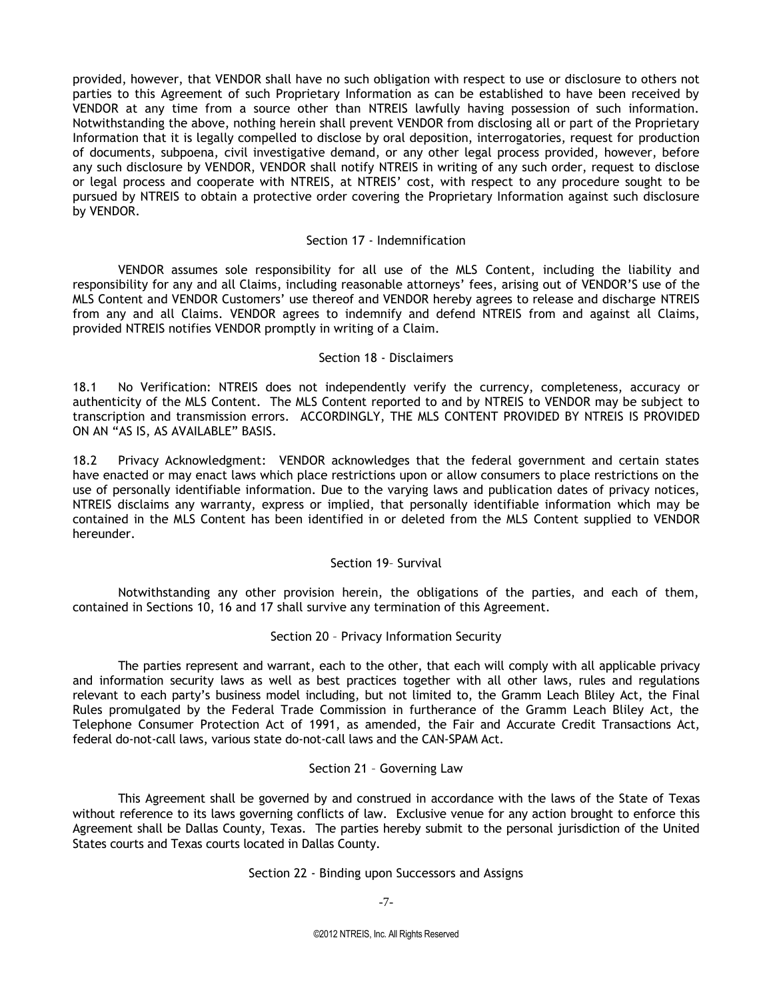provided, however, that VENDOR shall have no such obligation with respect to use or disclosure to others not parties to this Agreement of such Proprietary Information as can be established to have been received by VENDOR at any time from a source other than NTREIS lawfully having possession of such information. Notwithstanding the above, nothing herein shall prevent VENDOR from disclosing all or part of the Proprietary Information that it is legally compelled to disclose by oral deposition, interrogatories, request for production of documents, subpoena, civil investigative demand, or any other legal process provided, however, before any such disclosure by VENDOR, VENDOR shall notify NTREIS in writing of any such order, request to disclose or legal process and cooperate with NTREIS, at NTREIS' cost, with respect to any procedure sought to be pursued by NTREIS to obtain a protective order covering the Proprietary Information against such disclosure by VENDOR.

#### Section 17 - Indemnification

VENDOR assumes sole responsibility for all use of the MLS Content, including the liability and responsibility for any and all Claims, including reasonable attorneys' fees, arising out of VENDOR'S use of the MLS Content and VENDOR Customers' use thereof and VENDOR hereby agrees to release and discharge NTREIS from any and all Claims. VENDOR agrees to indemnify and defend NTREIS from and against all Claims, provided NTREIS notifies VENDOR promptly in writing of a Claim.

#### Section 18 - Disclaimers

18.1 No Verification: NTREIS does not independently verify the currency, completeness, accuracy or authenticity of the MLS Content. The MLS Content reported to and by NTREIS to VENDOR may be subject to transcription and transmission errors. ACCORDINGLY, THE MLS CONTENT PROVIDED BY NTREIS IS PROVIDED ON AN "AS IS, AS AVAILABLE" BASIS.

18.2 Privacy Acknowledgment: VENDOR acknowledges that the federal government and certain states have enacted or may enact laws which place restrictions upon or allow consumers to place restrictions on the use of personally identifiable information. Due to the varying laws and publication dates of privacy notices, NTREIS disclaims any warranty, express or implied, that personally identifiable information which may be contained in the MLS Content has been identified in or deleted from the MLS Content supplied to VENDOR hereunder.

#### Section 19– Survival

Notwithstanding any other provision herein, the obligations of the parties, and each of them, contained in Sections 10, 16 and 17 shall survive any termination of this Agreement.

#### Section 20 – Privacy Information Security

The parties represent and warrant, each to the other, that each will comply with all applicable privacy and information security laws as well as best practices together with all other laws, rules and regulations relevant to each party's business model including, but not limited to, the Gramm Leach Bliley Act, the Final Rules promulgated by the Federal Trade Commission in furtherance of the Gramm Leach Bliley Act, the Telephone Consumer Protection Act of 1991, as amended, the Fair and Accurate Credit Transactions Act, federal do-not-call laws, various state do-not-call laws and the CAN-SPAM Act.

#### Section 21 – Governing Law

This Agreement shall be governed by and construed in accordance with the laws of the State of Texas without reference to its laws governing conflicts of law. Exclusive venue for any action brought to enforce this Agreement shall be Dallas County, Texas. The parties hereby submit to the personal jurisdiction of the United States courts and Texas courts located in Dallas County.

#### Section 22 - Binding upon Successors and Assigns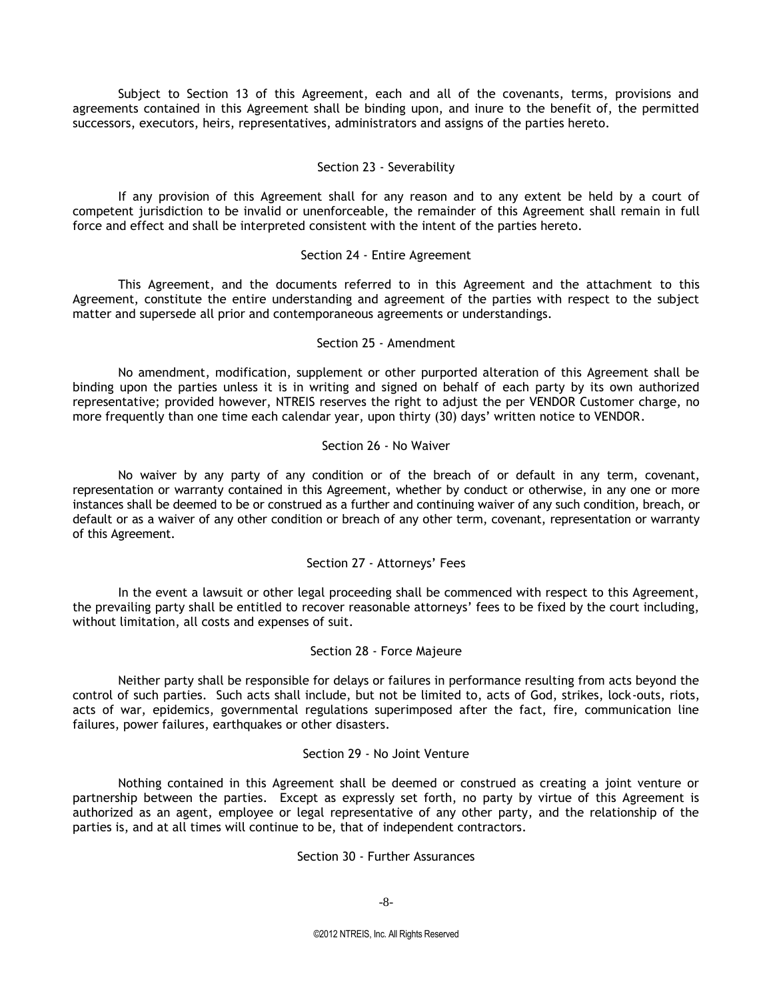Subject to Section 13 of this Agreement, each and all of the covenants, terms, provisions and agreements contained in this Agreement shall be binding upon, and inure to the benefit of, the permitted successors, executors, heirs, representatives, administrators and assigns of the parties hereto.

#### Section 23 - Severability

If any provision of this Agreement shall for any reason and to any extent be held by a court of competent jurisdiction to be invalid or unenforceable, the remainder of this Agreement shall remain in full force and effect and shall be interpreted consistent with the intent of the parties hereto.

#### Section 24 - Entire Agreement

This Agreement, and the documents referred to in this Agreement and the attachment to this Agreement, constitute the entire understanding and agreement of the parties with respect to the subject matter and supersede all prior and contemporaneous agreements or understandings.

#### Section 25 - Amendment

No amendment, modification, supplement or other purported alteration of this Agreement shall be binding upon the parties unless it is in writing and signed on behalf of each party by its own authorized representative; provided however, NTREIS reserves the right to adjust the per VENDOR Customer charge, no more frequently than one time each calendar year, upon thirty (30) days' written notice to VENDOR.

#### Section 26 - No Waiver

No waiver by any party of any condition or of the breach of or default in any term, covenant, representation or warranty contained in this Agreement, whether by conduct or otherwise, in any one or more instances shall be deemed to be or construed as a further and continuing waiver of any such condition, breach, or default or as a waiver of any other condition or breach of any other term, covenant, representation or warranty of this Agreement.

#### Section 27 - Attorneys' Fees

In the event a lawsuit or other legal proceeding shall be commenced with respect to this Agreement, the prevailing party shall be entitled to recover reasonable attorneys' fees to be fixed by the court including, without limitation, all costs and expenses of suit.

#### Section 28 - Force Majeure

Neither party shall be responsible for delays or failures in performance resulting from acts beyond the control of such parties. Such acts shall include, but not be limited to, acts of God, strikes, lock-outs, riots, acts of war, epidemics, governmental regulations superimposed after the fact, fire, communication line failures, power failures, earthquakes or other disasters.

#### Section 29 - No Joint Venture

Nothing contained in this Agreement shall be deemed or construed as creating a joint venture or partnership between the parties. Except as expressly set forth, no party by virtue of this Agreement is authorized as an agent, employee or legal representative of any other party, and the relationship of the parties is, and at all times will continue to be, that of independent contractors.

#### Section 30 - Further Assurances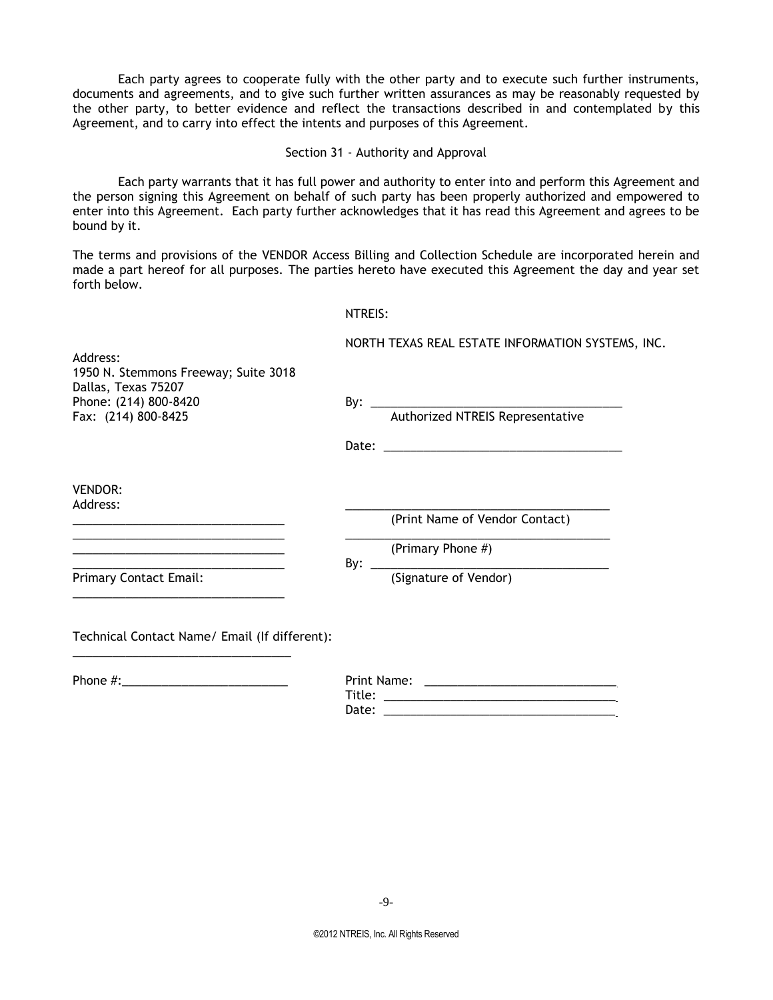Each party agrees to cooperate fully with the other party and to execute such further instruments, documents and agreements, and to give such further written assurances as may be reasonably requested by the other party, to better evidence and reflect the transactions described in and contemplated by this Agreement, and to carry into effect the intents and purposes of this Agreement.

Section 31 - Authority and Approval

Each party warrants that it has full power and authority to enter into and perform this Agreement and the person signing this Agreement on behalf of such party has been properly authorized and empowered to enter into this Agreement. Each party further acknowledges that it has read this Agreement and agrees to be bound by it.

The terms and provisions of the VENDOR Access Billing and Collection Schedule are incorporated herein and made a part hereof for all purposes. The parties hereto have executed this Agreement the day and year set forth below.

|                                                                                                             |                                                   | NTREIS:                        |
|-------------------------------------------------------------------------------------------------------------|---------------------------------------------------|--------------------------------|
| Address:                                                                                                    | NORTH TEXAS REAL ESTATE INFORMATION SYSTEMS, INC. |                                |
| 1950 N. Stemmons Freeway; Suite 3018<br>Dallas, Texas 75207<br>Phone: (214) 800-8420<br>Fax: (214) 800-8425 |                                                   |                                |
|                                                                                                             |                                                   |                                |
| <b>VENDOR:</b><br>Address:                                                                                  |                                                   | (Print Name of Vendor Contact) |
|                                                                                                             |                                                   | (Primary Phone #)              |
| <b>Primary Contact Email:</b>                                                                               |                                                   |                                |
| Technical Contact Name/ Email (If different):                                                               |                                                   |                                |
|                                                                                                             | T:+1                                              |                                |

Title: \_\_\_\_\_\_\_\_\_\_\_\_\_\_\_\_\_\_\_\_\_\_\_\_\_\_\_\_\_\_\_\_\_\_\_ Date: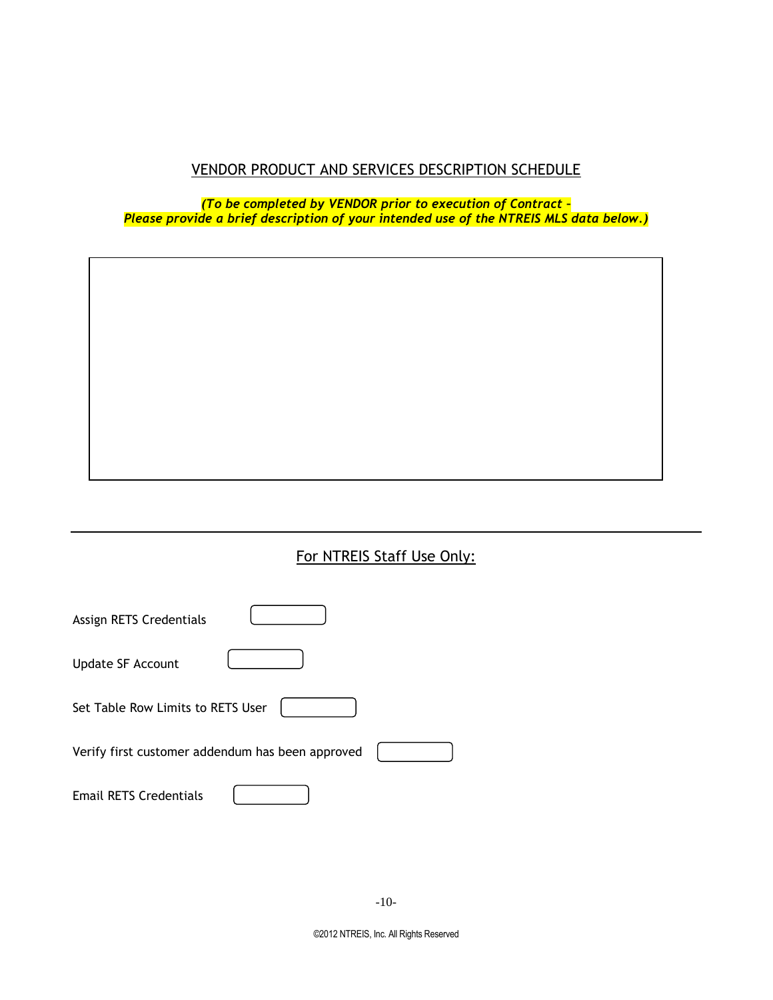# VENDOR PRODUCT AND SERVICES DESCRIPTION SCHEDULE

*(To be completed by VENDOR prior to execution of Contract – Please provide a brief description of your intended use of the NTREIS MLS data below.)*

# For NTREIS Staff Use Only:

| Assign RETS Credentials                          |  |
|--------------------------------------------------|--|
| <b>Update SF Account</b>                         |  |
| Set Table Row Limits to RETS User                |  |
| Verify first customer addendum has been approved |  |
| <b>Email RETS Credentials</b>                    |  |